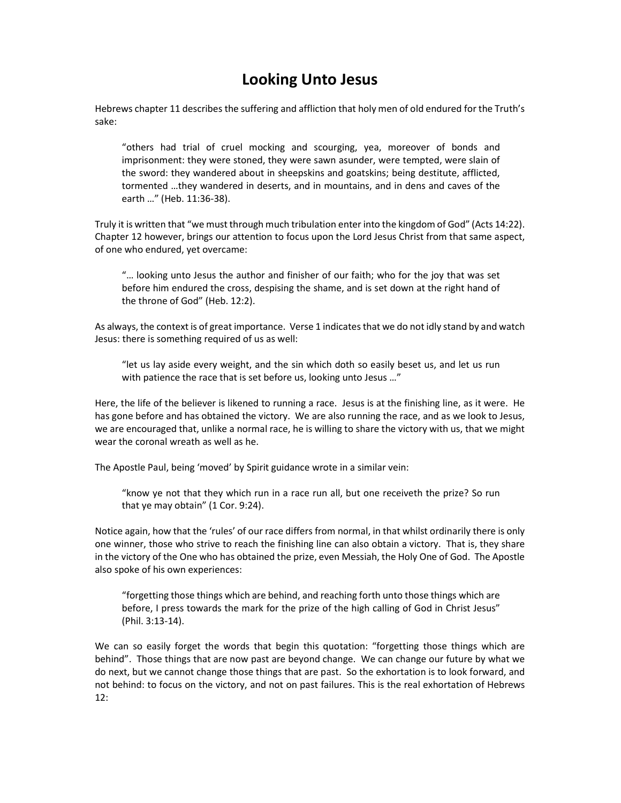## Looking Unto Jesus

Hebrews chapter 11 describes the suffering and affliction that holy men of old endured for the Truth's sake:

"others had trial of cruel mocking and scourging, yea, moreover of bonds and imprisonment: they were stoned, they were sawn asunder, were tempted, were slain of the sword: they wandered about in sheepskins and goatskins; being destitute, afflicted, tormented …they wandered in deserts, and in mountains, and in dens and caves of the earth …" (Heb. 11:36-38).

Truly it is written that "we must through much tribulation enter into the kingdom of God" (Acts 14:22). Chapter 12 however, brings our attention to focus upon the Lord Jesus Christ from that same aspect, of one who endured, yet overcame:

"… looking unto Jesus the author and finisher of our faith; who for the joy that was set before him endured the cross, despising the shame, and is set down at the right hand of the throne of God" (Heb. 12:2).

As always, the context is of great importance. Verse 1 indicates that we do not idly stand by and watch Jesus: there is something required of us as well:

"let us lay aside every weight, and the sin which doth so easily beset us, and let us run with patience the race that is set before us, looking unto Jesus …"

Here, the life of the believer is likened to running a race. Jesus is at the finishing line, as it were. He has gone before and has obtained the victory. We are also running the race, and as we look to Jesus, we are encouraged that, unlike a normal race, he is willing to share the victory with us, that we might wear the coronal wreath as well as he.

The Apostle Paul, being 'moved' by Spirit guidance wrote in a similar vein:

"know ye not that they which run in a race run all, but one receiveth the prize? So run that ye may obtain" (1 Cor. 9:24).

Notice again, how that the 'rules' of our race differs from normal, in that whilst ordinarily there is only one winner, those who strive to reach the finishing line can also obtain a victory. That is, they share in the victory of the One who has obtained the prize, even Messiah, the Holy One of God. The Apostle also spoke of his own experiences:

"forgetting those things which are behind, and reaching forth unto those things which are before, I press towards the mark for the prize of the high calling of God in Christ Jesus" (Phil. 3:13-14).

We can so easily forget the words that begin this quotation: "forgetting those things which are behind". Those things that are now past are beyond change. We can change our future by what we do next, but we cannot change those things that are past. So the exhortation is to look forward, and not behind: to focus on the victory, and not on past failures. This is the real exhortation of Hebrews 12: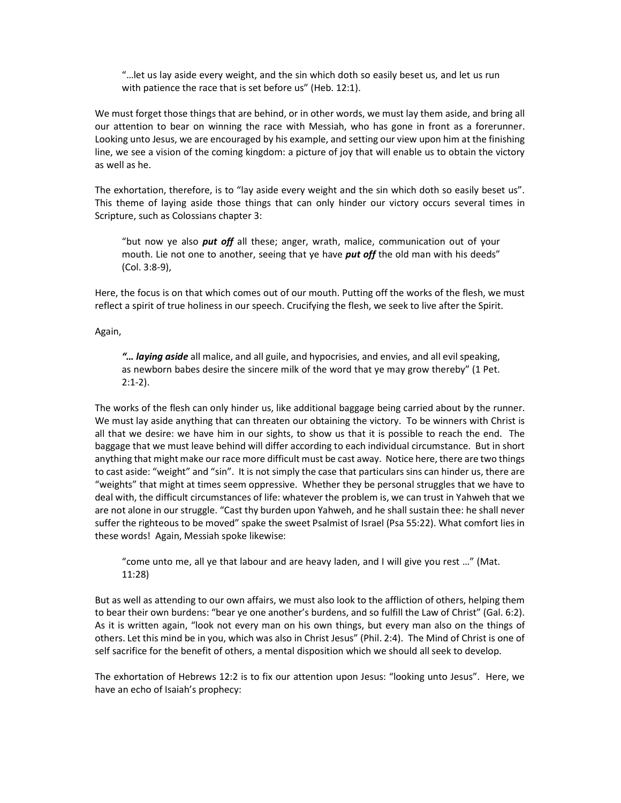"…let us lay aside every weight, and the sin which doth so easily beset us, and let us run with patience the race that is set before us" (Heb. 12:1).

We must forget those things that are behind, or in other words, we must lay them aside, and bring all our attention to bear on winning the race with Messiah, who has gone in front as a forerunner. Looking unto Jesus, we are encouraged by his example, and setting our view upon him at the finishing line, we see a vision of the coming kingdom: a picture of joy that will enable us to obtain the victory as well as he.

The exhortation, therefore, is to "lay aside every weight and the sin which doth so easily beset us". This theme of laying aside those things that can only hinder our victory occurs several times in Scripture, such as Colossians chapter 3:

"but now ye also *put off* all these; anger, wrath, malice, communication out of your mouth. Lie not one to another, seeing that ye have *put off* the old man with his deeds" (Col. 3:8-9),

Here, the focus is on that which comes out of our mouth. Putting off the works of the flesh, we must reflect a spirit of true holiness in our speech. Crucifying the flesh, we seek to live after the Spirit.

Again,

"... laying aside all malice, and all guile, and hypocrisies, and envies, and all evil speaking, as newborn babes desire the sincere milk of the word that ye may grow thereby" (1 Pet. 2:1-2).

The works of the flesh can only hinder us, like additional baggage being carried about by the runner. We must lay aside anything that can threaten our obtaining the victory. To be winners with Christ is all that we desire: we have him in our sights, to show us that it is possible to reach the end. The baggage that we must leave behind will differ according to each individual circumstance. But in short anything that might make our race more difficult must be cast away. Notice here, there are two things to cast aside: "weight" and "sin". It is not simply the case that particulars sins can hinder us, there are "weights" that might at times seem oppressive. Whether they be personal struggles that we have to deal with, the difficult circumstances of life: whatever the problem is, we can trust in Yahweh that we are not alone in our struggle. "Cast thy burden upon Yahweh, and he shall sustain thee: he shall never suffer the righteous to be moved" spake the sweet Psalmist of Israel (Psa 55:22). What comfort lies in these words! Again, Messiah spoke likewise:

"come unto me, all ye that labour and are heavy laden, and I will give you rest …" (Mat. 11:28)

But as well as attending to our own affairs, we must also look to the affliction of others, helping them to bear their own burdens: "bear ye one another's burdens, and so fulfill the Law of Christ" (Gal. 6:2). As it is written again, "look not every man on his own things, but every man also on the things of others. Let this mind be in you, which was also in Christ Jesus" (Phil. 2:4). The Mind of Christ is one of self sacrifice for the benefit of others, a mental disposition which we should all seek to develop.

The exhortation of Hebrews 12:2 is to fix our attention upon Jesus: "looking unto Jesus". Here, we have an echo of Isaiah's prophecy: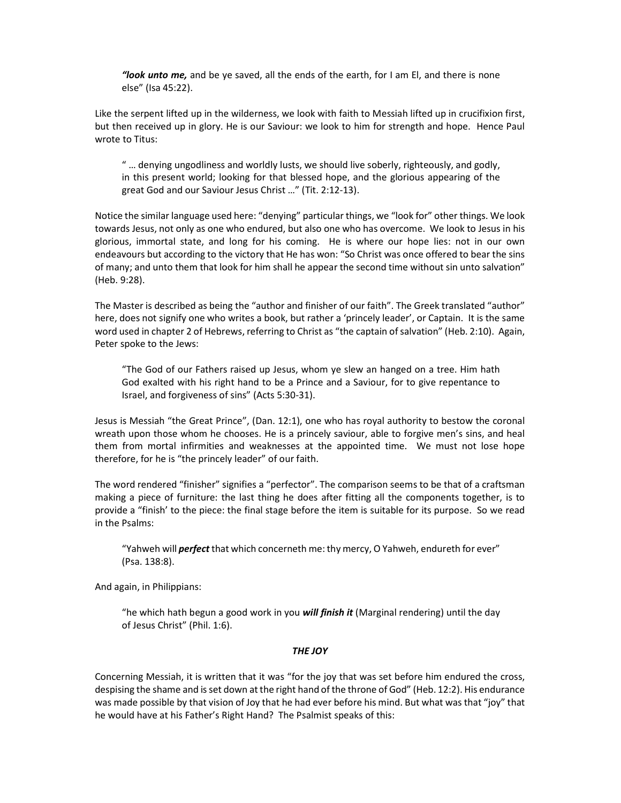"look unto me, and be ye saved, all the ends of the earth, for I am El, and there is none else" (Isa 45:22).

Like the serpent lifted up in the wilderness, we look with faith to Messiah lifted up in crucifixion first, but then received up in glory. He is our Saviour: we look to him for strength and hope. Hence Paul wrote to Titus:

" … denying ungodliness and worldly lusts, we should live soberly, righteously, and godly, in this present world; looking for that blessed hope, and the glorious appearing of the great God and our Saviour Jesus Christ …" (Tit. 2:12-13).

Notice the similar language used here: "denying" particular things, we "look for" other things. We look towards Jesus, not only as one who endured, but also one who has overcome. We look to Jesus in his glorious, immortal state, and long for his coming. He is where our hope lies: not in our own endeavours but according to the victory that He has won: "So Christ was once offered to bear the sins of many; and unto them that look for him shall he appear the second time without sin unto salvation" (Heb. 9:28).

The Master is described as being the "author and finisher of our faith". The Greek translated "author" here, does not signify one who writes a book, but rather a 'princely leader', or Captain. It is the same word used in chapter 2 of Hebrews, referring to Christ as "the captain of salvation" (Heb. 2:10). Again, Peter spoke to the Jews:

"The God of our Fathers raised up Jesus, whom ye slew an hanged on a tree. Him hath God exalted with his right hand to be a Prince and a Saviour, for to give repentance to Israel, and forgiveness of sins" (Acts 5:30-31).

Jesus is Messiah "the Great Prince", (Dan. 12:1), one who has royal authority to bestow the coronal wreath upon those whom he chooses. He is a princely saviour, able to forgive men's sins, and heal them from mortal infirmities and weaknesses at the appointed time. We must not lose hope therefore, for he is "the princely leader" of our faith.

The word rendered "finisher" signifies a "perfector". The comparison seems to be that of a craftsman making a piece of furniture: the last thing he does after fitting all the components together, is to provide a "finish' to the piece: the final stage before the item is suitable for its purpose. So we read in the Psalms:

"Yahweh will *perfect* that which concerneth me: thy mercy, O Yahweh, endureth for ever" (Psa. 138:8).

And again, in Philippians:

"he which hath begun a good work in you will finish it (Marginal rendering) until the day of Jesus Christ" (Phil. 1:6).

## THE JOY

Concerning Messiah, it is written that it was "for the joy that was set before him endured the cross, despising the shame and is set down at the right hand of the throne of God" (Heb. 12:2). His endurance was made possible by that vision of Joy that he had ever before his mind. But what was that "joy" that he would have at his Father's Right Hand? The Psalmist speaks of this: